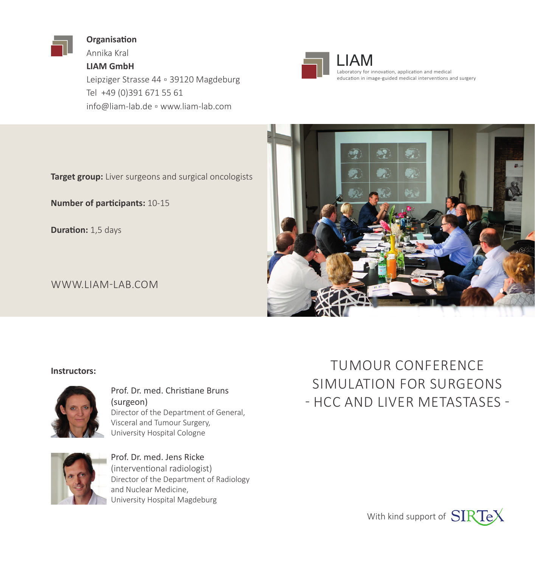

**Organisation**

Annika Kral **LIAM GmbH**

Leipziger Strasse 44 ▫ 39120 Magdeburg Tel +49 (0)391 671 55 61 info@liam-lab.de ▫ www.liam-lab.com



LIAM<br>Laboratory for innovation, application and medical education in image-guided medical interventions and surgery

**Target group:** Liver surgeons and surgical oncologists

**Number of participants:** 10-15

**Duration:** 1,5 days

WWW.LIAM-LAB.COM



#### **Instructors:**



Prof. Dr. med. Christiane Bruns (surgeon) Director of the Department of General, Visceral and Tumour Surgery, University Hospital Cologne



Prof. Dr. med. Jens Ricke (interventional radiologist) Director of the Department of Radiology and Nuclear Medicine, University Hospital Magdeburg

TUMOUR CONFERENCE SIMULATION FOR SURGEONS - HCC AND LIVER METASTASES -